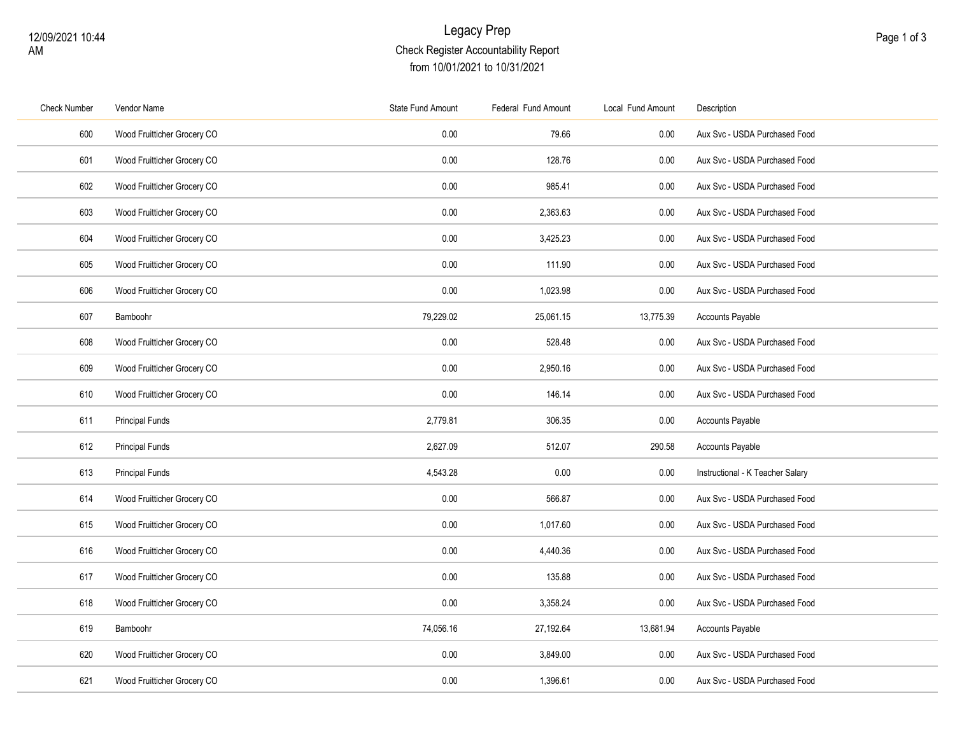## Legacy Prep Check Register Accountability Report from 10/01/2021 to 10/31/2021

| <b>Check Number</b> | Vendor Name                 | State Fund Amount | Federal Fund Amount | Local Fund Amount | Description                      |
|---------------------|-----------------------------|-------------------|---------------------|-------------------|----------------------------------|
| 600                 | Wood Fruitticher Grocery CO | 0.00              | 79.66               | $0.00\,$          | Aux Svc - USDA Purchased Food    |
| 601                 | Wood Fruitticher Grocery CO | 0.00              | 128.76              | 0.00              | Aux Svc - USDA Purchased Food    |
| 602                 | Wood Fruitticher Grocery CO | 0.00              | 985.41              | 0.00              | Aux Svc - USDA Purchased Food    |
| 603                 | Wood Fruitticher Grocery CO | 0.00              | 2,363.63            | 0.00              | Aux Svc - USDA Purchased Food    |
| 604                 | Wood Fruitticher Grocery CO | 0.00              | 3,425.23            | 0.00              | Aux Svc - USDA Purchased Food    |
| 605                 | Wood Fruitticher Grocery CO | 0.00              | 111.90              | 0.00              | Aux Svc - USDA Purchased Food    |
| 606                 | Wood Fruitticher Grocery CO | 0.00              | 1,023.98            | 0.00              | Aux Svc - USDA Purchased Food    |
| 607                 | Bamboohr                    | 79,229.02         | 25,061.15           | 13,775.39         | <b>Accounts Payable</b>          |
| 608                 | Wood Fruitticher Grocery CO | 0.00              | 528.48              | 0.00              | Aux Svc - USDA Purchased Food    |
| 609                 | Wood Fruitticher Grocery CO | 0.00              | 2,950.16            | $0.00\,$          | Aux Svc - USDA Purchased Food    |
| 610                 | Wood Fruitticher Grocery CO | 0.00              | 146.14              | 0.00              | Aux Svc - USDA Purchased Food    |
| 611                 | <b>Principal Funds</b>      | 2,779.81          | 306.35              | $0.00\,$          | <b>Accounts Payable</b>          |
| 612                 | <b>Principal Funds</b>      | 2,627.09          | 512.07              | 290.58            | <b>Accounts Payable</b>          |
| 613                 | <b>Principal Funds</b>      | 4,543.28          | 0.00                | 0.00              | Instructional - K Teacher Salary |
| 614                 | Wood Fruitticher Grocery CO | 0.00              | 566.87              | $0.00\,$          | Aux Svc - USDA Purchased Food    |
| 615                 | Wood Fruitticher Grocery CO | 0.00              | 1,017.60            | 0.00              | Aux Svc - USDA Purchased Food    |
| 616                 | Wood Fruitticher Grocery CO | 0.00              | 4,440.36            | 0.00              | Aux Svc - USDA Purchased Food    |
| 617                 | Wood Fruitticher Grocery CO | 0.00              | 135.88              | 0.00              | Aux Svc - USDA Purchased Food    |
| 618                 | Wood Fruitticher Grocery CO | 0.00              | 3,358.24            | 0.00              | Aux Svc - USDA Purchased Food    |
| 619                 | Bamboohr                    | 74,056.16         | 27,192.64           | 13,681.94         | <b>Accounts Payable</b>          |
| 620                 | Wood Fruitticher Grocery CO | 0.00              | 3,849.00            | 0.00              | Aux Svc - USDA Purchased Food    |
| 621                 | Wood Fruitticher Grocery CO | 0.00              | 1,396.61            | 0.00              | Aux Svc - USDA Purchased Food    |
|                     |                             |                   |                     |                   |                                  |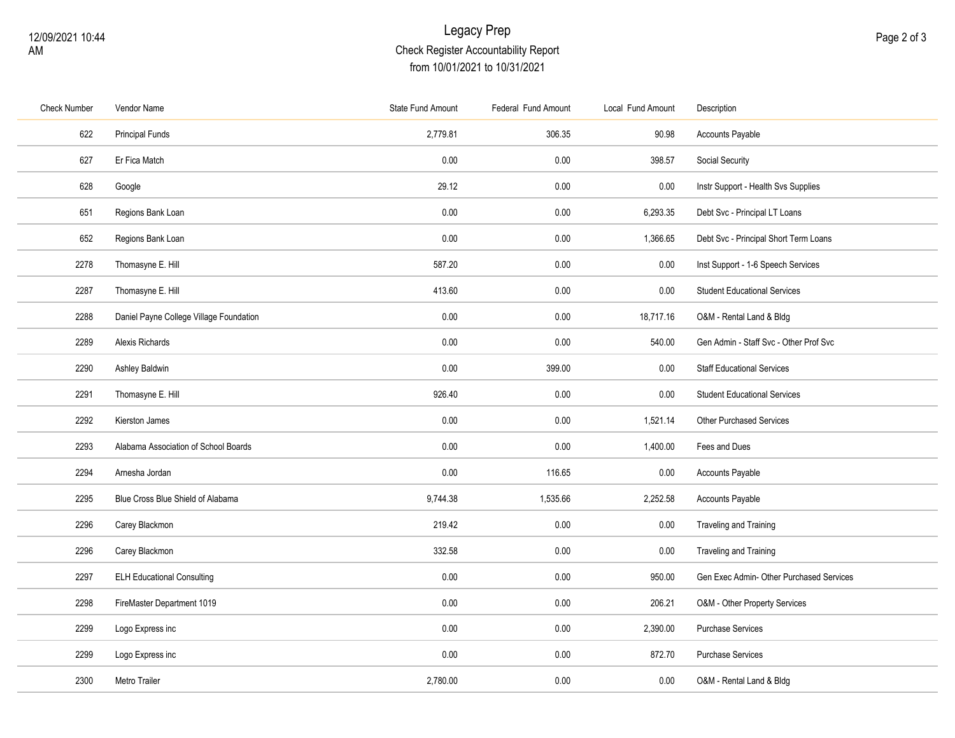## Legacy Prep Check Register Accountability Report from 10/01/2021 to 10/31/2021

| <b>Check Number</b> | Vendor Name                             | State Fund Amount | Federal Fund Amount | Local Fund Amount | Description                              |
|---------------------|-----------------------------------------|-------------------|---------------------|-------------------|------------------------------------------|
| 622                 | <b>Principal Funds</b>                  | 2,779.81          | 306.35              | 90.98             | Accounts Payable                         |
| 627                 | Er Fica Match                           | 0.00              | 0.00                | 398.57            | Social Security                          |
| 628                 | Google                                  | 29.12             | 0.00                | 0.00              | Instr Support - Health Svs Supplies      |
| 651                 | Regions Bank Loan                       | 0.00              | 0.00                | 6,293.35          | Debt Svc - Principal LT Loans            |
| 652                 | Regions Bank Loan                       | 0.00              | 0.00                | 1,366.65          | Debt Svc - Principal Short Term Loans    |
| 2278                | Thomasyne E. Hill                       | 587.20            | 0.00                | 0.00              | Inst Support - 1-6 Speech Services       |
| 2287                | Thomasyne E. Hill                       | 413.60            | 0.00                | 0.00              | <b>Student Educational Services</b>      |
| 2288                | Daniel Payne College Village Foundation | 0.00              | 0.00                | 18,717.16         | O&M - Rental Land & Bldg                 |
| 2289                | Alexis Richards                         | 0.00              | 0.00                | 540.00            | Gen Admin - Staff Svc - Other Prof Svc   |
| 2290                | Ashley Baldwin                          | 0.00              | 399.00              | 0.00              | <b>Staff Educational Services</b>        |
| 2291                | Thomasyne E. Hill                       | 926.40            | 0.00                | 0.00              | <b>Student Educational Services</b>      |
| 2292                | Kierston James                          | 0.00              | 0.00                | 1,521.14          | <b>Other Purchased Services</b>          |
| 2293                | Alabama Association of School Boards    | 0.00              | 0.00                | 1,400.00          | Fees and Dues                            |
| 2294                | Arnesha Jordan                          | 0.00              | 116.65              | 0.00              | <b>Accounts Payable</b>                  |
| 2295                | Blue Cross Blue Shield of Alabama       | 9,744.38          | 1,535.66            | 2,252.58          | <b>Accounts Payable</b>                  |
| 2296                | Carey Blackmon                          | 219.42            | 0.00                | 0.00              | <b>Traveling and Training</b>            |
| 2296                | Carey Blackmon                          | 332.58            | 0.00                | 0.00              | Traveling and Training                   |
| 2297                | <b>ELH Educational Consulting</b>       | 0.00              | 0.00                | 950.00            | Gen Exec Admin- Other Purchased Services |
| 2298                | FireMaster Department 1019              | 0.00              | 0.00                | 206.21            | O&M - Other Property Services            |
| 2299                | Logo Express inc                        | 0.00              | 0.00                | 2,390.00          | <b>Purchase Services</b>                 |
| 2299                | Logo Express inc                        | 0.00              | 0.00                | 872.70            | <b>Purchase Services</b>                 |
| 2300                | Metro Trailer                           | 2,780.00          | 0.00                | 0.00              | O&M - Rental Land & Bldg                 |
|                     |                                         |                   |                     |                   |                                          |